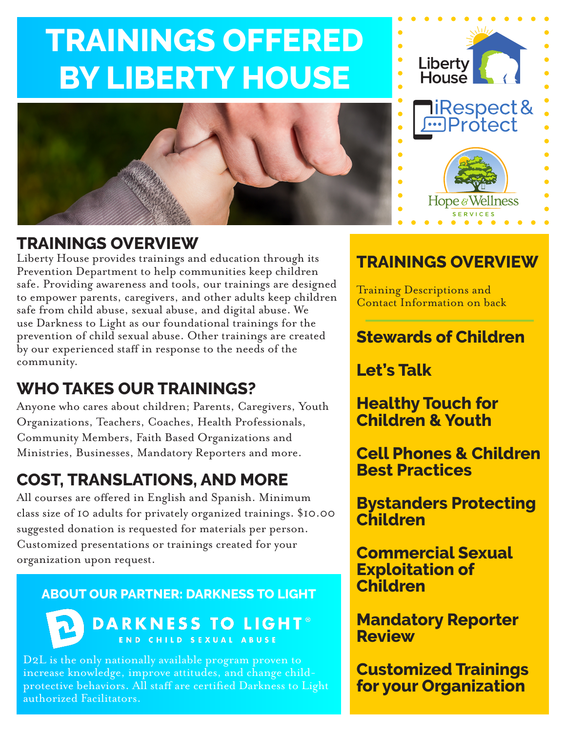# **TRAININGS OFFERED BY LIBERTY HOUSE**



### **TRAININGS OVERVIEW**

Liberty House provides trainings and education through its Prevention Department to help communities keep children safe. Providing awareness and tools, our trainings are designed to empower parents, caregivers, and other adults keep children safe from child abuse, sexual abuse, and digital abuse. We use Darkness to Light as our foundational trainings for the prevention of child sexual abuse. Other trainings are created by our experienced staff in response to the needs of the community.

# **WHO TAKES OUR TRAININGS?**

Anyone who cares about children; Parents, Caregivers, Youth Organizations, Teachers, Coaches, Health Professionals, Community Members, Faith Based Organizations and Ministries, Businesses, Mandatory Reporters and more.

# **COST, TRANSLATIONS, AND MORE**

All courses are offered in English and Spanish. Minimum class size of 10 adults for privately organized trainings. \$10.00 suggested donation is requested for materials per person. Customized presentations or trainings created for your organization upon request.

#### **ABOUT OUR PARTNER: DARKNESS TO LIGHT**



**DARKNESS TO LIGHT®** END CHILD SEXUAL ABUSE

D2L is the only nationally available program proven to increase knowledge, improve attitudes, and change childprotective behaviors. All staff are certified Darkness to Light authorized Facilitators.

### **TRAININGS OVERVIEW**

Liberty<br>House

¶iRespect&<br>Protect

Hope & Wellness

Training Descriptions and Contact Information on back

### **Stewards of Children**

**Let's Talk**

**Healthy Touch for Children & Youth**

**Cell Phones & Children Best Practices**

**Bystanders Protecting Children**

**Commercial Sexual Exploitation of Children**

**Mandatory Reporter Review**

**Customized Trainings for your Organization**